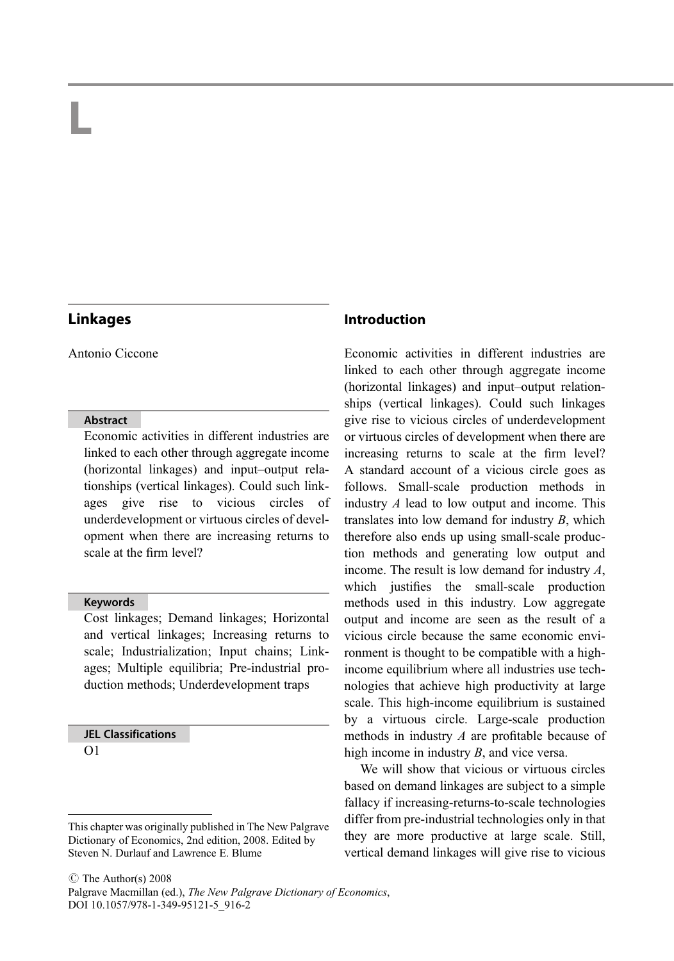# L

## Linkages

Antonio Ciccone

## Abstract

Economic activities in different industries are linked to each other through aggregate income (horizontal linkages) and input–output relationships (vertical linkages). Could such linkages give rise to vicious circles of underdevelopment or virtuous circles of development when there are increasing returns to scale at the firm level?

## Keywords

Cost linkages; Demand linkages; Horizontal and vertical linkages; Increasing returns to scale; Industrialization; Input chains; Linkages; Multiple equilibria; Pre-industrial production methods; Underdevelopment traps

#### JEL Classifications  $O<sub>1</sub>$

## Introduction

Economic activities in different industries are linked to each other through aggregate income (horizontal linkages) and input–output relationships (vertical linkages). Could such linkages give rise to vicious circles of underdevelopment or virtuous circles of development when there are increasing returns to scale at the firm level? A standard account of a vicious circle goes as follows. Small-scale production methods in industry A lead to low output and income. This translates into low demand for industry  $B$ , which therefore also ends up using small-scale production methods and generating low output and income. The result is low demand for industry A, which justifies the small-scale production methods used in this industry. Low aggregate output and income are seen as the result of a vicious circle because the same economic environment is thought to be compatible with a highincome equilibrium where all industries use technologies that achieve high productivity at large scale. This high-income equilibrium is sustained by a virtuous circle. Large-scale production methods in industry  $A$  are profitable because of high income in industry B, and vice versa.

We will show that vicious or virtuous circles based on demand linkages are subject to a simple fallacy if increasing-returns-to-scale technologies differ from pre-industrial technologies only in that they are more productive at large scale. Still, vertical demand linkages will give rise to vicious

This chapter was originally published in The New Palgrave Dictionary of Economics, 2nd edition, 2008. Edited by Steven N. Durlauf and Lawrence E. Blume

 $\circ$  The Author(s) 2008

Palgrave Macmillan (ed.), The New Palgrave Dictionary of Economics, DOI 10.1057/978-1-349-95121-5\_916-2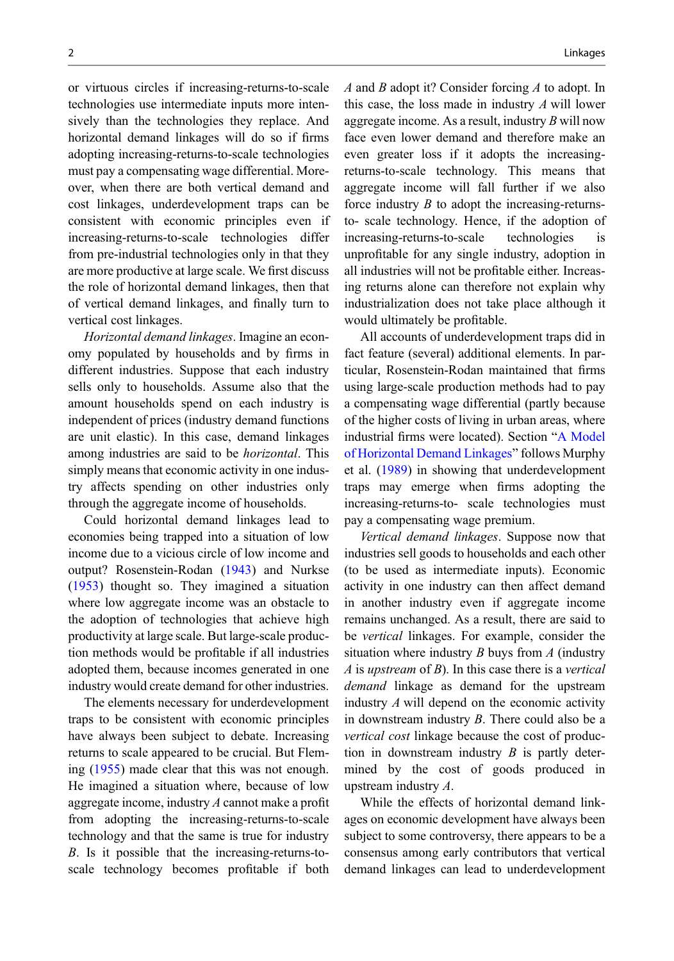or virtuous circles if increasing-returns-to-scale technologies use intermediate inputs more intensively than the technologies they replace. And horizontal demand linkages will do so if firms adopting increasing-returns-to-scale technologies must pay a compensating wage differential. Moreover, when there are both vertical demand and cost linkages, underdevelopment traps can be consistent with economic principles even if increasing-returns-to-scale technologies differ from pre-industrial technologies only in that they are more productive at large scale. We first discuss the role of horizontal demand linkages, then that of vertical demand linkages, and finally turn to vertical cost linkages.

Horizontal demand linkages. Imagine an economy populated by households and by firms in different industries. Suppose that each industry sells only to households. Assume also that the amount households spend on each industry is independent of prices (industry demand functions are unit elastic). In this case, demand linkages among industries are said to be *horizontal*. This simply means that economic activity in one industry affects spending on other industries only through the aggregate income of households.

Could horizontal demand linkages lead to economies being trapped into a situation of low income due to a vicious circle of low income and output? Rosenstein-Rodan ([1943\)](#page-10-0) and Nurkse [\(1953](#page-10-0)) thought so. They imagined a situation where low aggregate income was an obstacle to the adoption of technologies that achieve high productivity at large scale. But large-scale production methods would be profitable if all industries adopted them, because incomes generated in one industry would create demand for other industries.

The elements necessary for underdevelopment traps to be consistent with economic principles have always been subject to debate. Increasing returns to scale appeared to be crucial. But Fleming [\(1955](#page-10-0)) made clear that this was not enough. He imagined a situation where, because of low aggregate income, industry A cannot make a profit from adopting the increasing-returns-to-scale technology and that the same is true for industry B. Is it possible that the increasing-returns-toscale technology becomes profitable if both  $A$  and  $B$  adopt it? Consider forcing  $A$  to adopt. In this case, the loss made in industry A will lower aggregate income. As a result, industry  $B$  will now face even lower demand and therefore make an even greater loss if it adopts the increasingreturns-to-scale technology. This means that aggregate income will fall further if we also force industry  $B$  to adopt the increasing-returnsto- scale technology. Hence, if the adoption of increasing-returns-to-scale technologies is unprofitable for any single industry, adoption in all industries will not be profitable either. Increasing returns alone can therefore not explain why industrialization does not take place although it would ultimately be profitable.

All accounts of underdevelopment traps did in fact feature (several) additional elements. In particular, Rosenstein-Rodan maintained that firms using large-scale production methods had to pay a compensating wage differential (partly because of the higher costs of living in urban areas, where industrial firms were located). Section "[A Model](#page-2-0) [of Horizontal Demand Linkages](#page-2-0)" follows Murphy et al. [\(1989](#page-10-0)) in showing that underdevelopment traps may emerge when firms adopting the increasing-returns-to- scale technologies must pay a compensating wage premium.

Vertical demand linkages. Suppose now that industries sell goods to households and each other (to be used as intermediate inputs). Economic activity in one industry can then affect demand in another industry even if aggregate income remains unchanged. As a result, there are said to be vertical linkages. For example, consider the situation where industry  $B$  buys from  $A$  (industry A is upstream of  $B$ ). In this case there is a vertical demand linkage as demand for the upstream industry A will depend on the economic activity in downstream industry B. There could also be a vertical cost linkage because the cost of production in downstream industry  $B$  is partly determined by the cost of goods produced in upstream industry A.

While the effects of horizontal demand linkages on economic development have always been subject to some controversy, there appears to be a consensus among early contributors that vertical demand linkages can lead to underdevelopment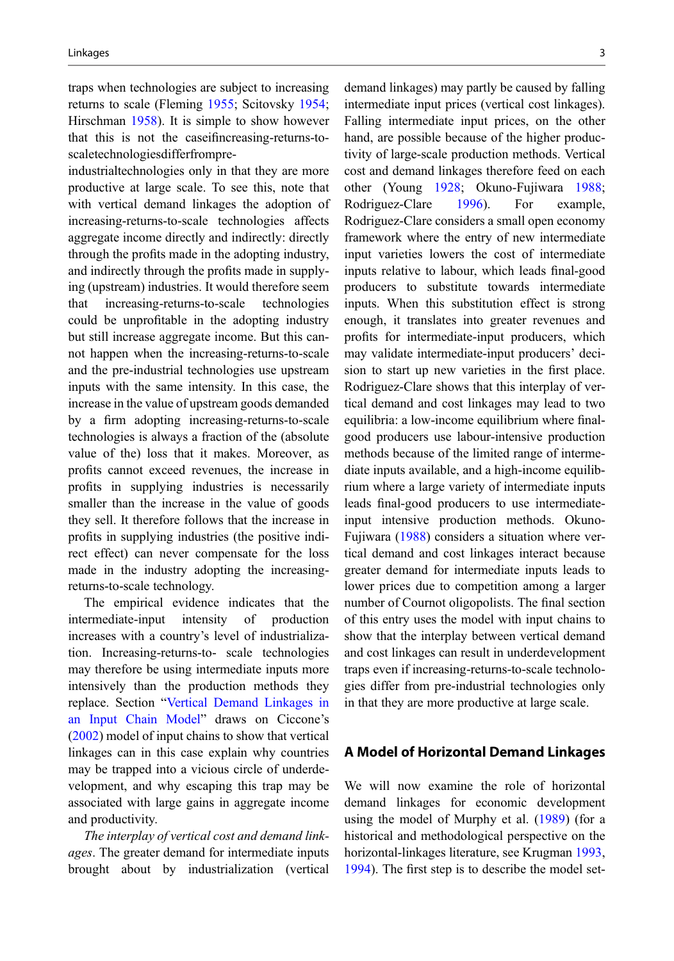<span id="page-2-0"></span>traps when technologies are subject to increasing returns to scale (Fleming [1955](#page-10-0); Scitovsky [1954;](#page-10-0) Hirschman [1958\)](#page-10-0). It is simple to show however that this is not the caseifincreasing-returns-toscaletechnologiesdifferfrompre-

industrialtechnologies only in that they are more productive at large scale. To see this, note that with vertical demand linkages the adoption of increasing-returns-to-scale technologies affects aggregate income directly and indirectly: directly through the profits made in the adopting industry, and indirectly through the profits made in supplying (upstream) industries. It would therefore seem that increasing-returns-to-scale technologies could be unprofitable in the adopting industry but still increase aggregate income. But this cannot happen when the increasing-returns-to-scale and the pre-industrial technologies use upstream inputs with the same intensity. In this case, the increase in the value of upstream goods demanded by a firm adopting increasing-returns-to-scale technologies is always a fraction of the (absolute value of the) loss that it makes. Moreover, as profits cannot exceed revenues, the increase in profits in supplying industries is necessarily smaller than the increase in the value of goods they sell. It therefore follows that the increase in profits in supplying industries (the positive indirect effect) can never compensate for the loss made in the industry adopting the increasingreturns-to-scale technology.

The empirical evidence indicates that the intermediate-input intensity of production increases with a country's level of industrialization. Increasing-returns-to- scale technologies may therefore be using intermediate inputs more intensively than the production methods they replace. Section "[Vertical Demand Linkages in](#page-5-0) [an Input Chain Model](#page-5-0)" draws on Ciccone's [\(2002](#page-10-0)) model of input chains to show that vertical linkages can in this case explain why countries may be trapped into a vicious circle of underdevelopment, and why escaping this trap may be associated with large gains in aggregate income and productivity.

The interplay of vertical cost and demand linkages. The greater demand for intermediate inputs brought about by industrialization (vertical demand linkages) may partly be caused by falling intermediate input prices (vertical cost linkages). Falling intermediate input prices, on the other hand, are possible because of the higher productivity of large-scale production methods. Vertical cost and demand linkages therefore feed on each other (Young [1928](#page-10-0); Okuno-Fujiwara [1988;](#page-10-0) Rodriguez-Clare [1996\)](#page-10-0). For example, Rodriguez-Clare considers a small open economy framework where the entry of new intermediate input varieties lowers the cost of intermediate inputs relative to labour, which leads final-good producers to substitute towards intermediate inputs. When this substitution effect is strong enough, it translates into greater revenues and profits for intermediate-input producers, which may validate intermediate-input producers' decision to start up new varieties in the first place. Rodriguez-Clare shows that this interplay of vertical demand and cost linkages may lead to two equilibria: a low-income equilibrium where finalgood producers use labour-intensive production methods because of the limited range of intermediate inputs available, and a high-income equilibrium where a large variety of intermediate inputs leads final-good producers to use intermediateinput intensive production methods. Okuno-Fujiwara [\(1988](#page-10-0)) considers a situation where vertical demand and cost linkages interact because greater demand for intermediate inputs leads to lower prices due to competition among a larger number of Cournot oligopolists. The final section of this entry uses the model with input chains to show that the interplay between vertical demand and cost linkages can result in underdevelopment traps even if increasing-returns-to-scale technologies differ from pre-industrial technologies only in that they are more productive at large scale.

#### A Model of Horizontal Demand Linkages

We will now examine the role of horizontal demand linkages for economic development using the model of Murphy et al. ([1989\)](#page-10-0) (for a historical and methodological perspective on the horizontal-linkages literature, see Krugman [1993](#page-10-0), [1994\)](#page-10-0). The first step is to describe the model set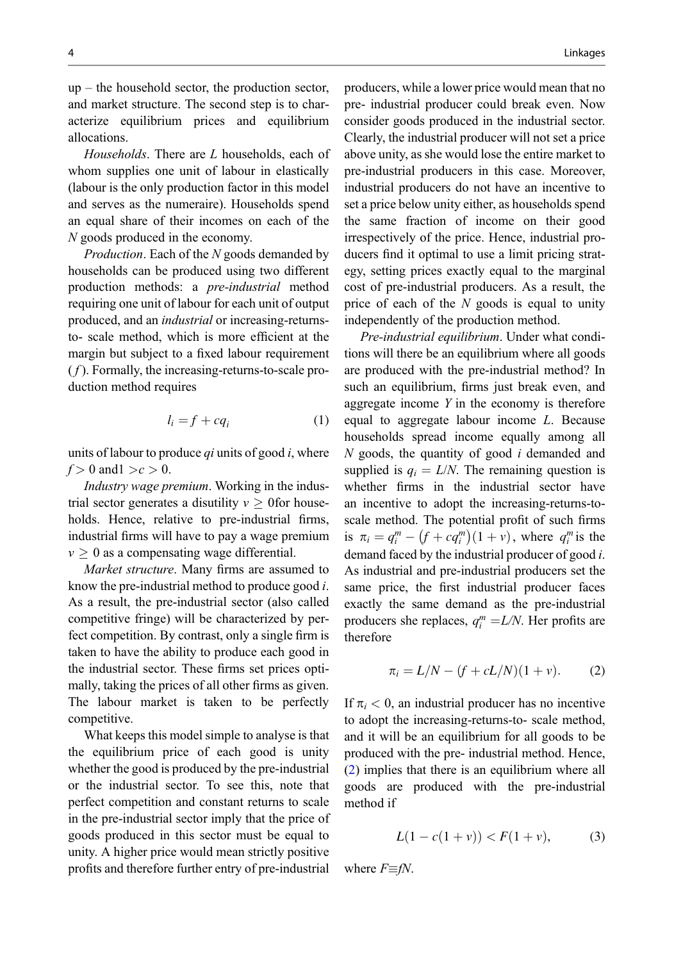<span id="page-3-0"></span> $up$  – the household sector, the production sector, and market structure. The second step is to characterize equilibrium prices and equilibrium allocations.

Households. There are  $L$  households, each of whom supplies one unit of labour in elastically (labour is the only production factor in this model and serves as the numeraire). Households spend an equal share of their incomes on each of the N goods produced in the economy.

Production. Each of the N goods demanded by households can be produced using two different production methods: a pre-industrial method requiring one unit of labour for each unit of output produced, and an industrial or increasing-returnsto- scale method, which is more efficient at the margin but subject to a fixed labour requirement  $(f)$ . Formally, the increasing-returns-to-scale production method requires

$$
l_i = f + cq_i \tag{1}
$$

units of labour to produce  $qi$  units of good  $i$ , where  $f > 0$  and  $1 > c > 0$ .

Industry wage premium. Working in the industrial sector generates a disutility  $v \geq 0$  for households. Hence, relative to pre-industrial firms, industrial firms will have to pay a wage premium  $v \geq 0$  as a compensating wage differential.

Market structure. Many firms are assumed to know the pre-industrial method to produce good i. As a result, the pre-industrial sector (also called competitive fringe) will be characterized by perfect competition. By contrast, only a single firm is taken to have the ability to produce each good in the industrial sector. These firms set prices optimally, taking the prices of all other firms as given. The labour market is taken to be perfectly competitive.

What keeps this model simple to analyse is that the equilibrium price of each good is unity whether the good is produced by the pre-industrial or the industrial sector. To see this, note that perfect competition and constant returns to scale in the pre-industrial sector imply that the price of goods produced in this sector must be equal to unity. A higher price would mean strictly positive profits and therefore further entry of pre-industrial

producers, while a lower price would mean that no pre- industrial producer could break even. Now consider goods produced in the industrial sector. Clearly, the industrial producer will not set a price above unity, as she would lose the entire market to pre-industrial producers in this case. Moreover, industrial producers do not have an incentive to set a price below unity either, as households spend the same fraction of income on their good irrespectively of the price. Hence, industrial producers find it optimal to use a limit pricing strategy, setting prices exactly equal to the marginal cost of pre-industrial producers. As a result, the price of each of the  $N$  goods is equal to unity independently of the production method.

Pre-industrial equilibrium. Under what conditions will there be an equilibrium where all goods are produced with the pre-industrial method? In such an equilibrium, firms just break even, and aggregate income  $Y$  in the economy is therefore equal to aggregate labour income L. Because households spread income equally among all N goods, the quantity of good i demanded and supplied is  $q_i = L/N$ . The remaining question is whether firms in the industrial sector have an incentive to adopt the increasing-returns-toscale method. The potential profit of such firms is  $\pi_i = q_i^m - (f + cq_i^m)(1 + v)$ , where  $q_i^m$  is the demand faced by the industrial producer of good i. As industrial and pre-industrial producers set the same price, the first industrial producer faces exactly the same demand as the pre-industrial producers she replaces,  $q_i^m = L/N$ . Her profits are therefore

$$
\pi_i = L/N - (f + cL/N)(1 + v).
$$
 (2)

If  $\pi_i$  < 0, an industrial producer has no incentive to adopt the increasing-returns-to- scale method, and it will be an equilibrium for all goods to be produced with the pre- industrial method. Hence, (2) implies that there is an equilibrium where all goods are produced with the pre-industrial method if

$$
L(1 - c(1 + v)) < F(1 + v), \tag{3}
$$

where  $F \equiv fN$ .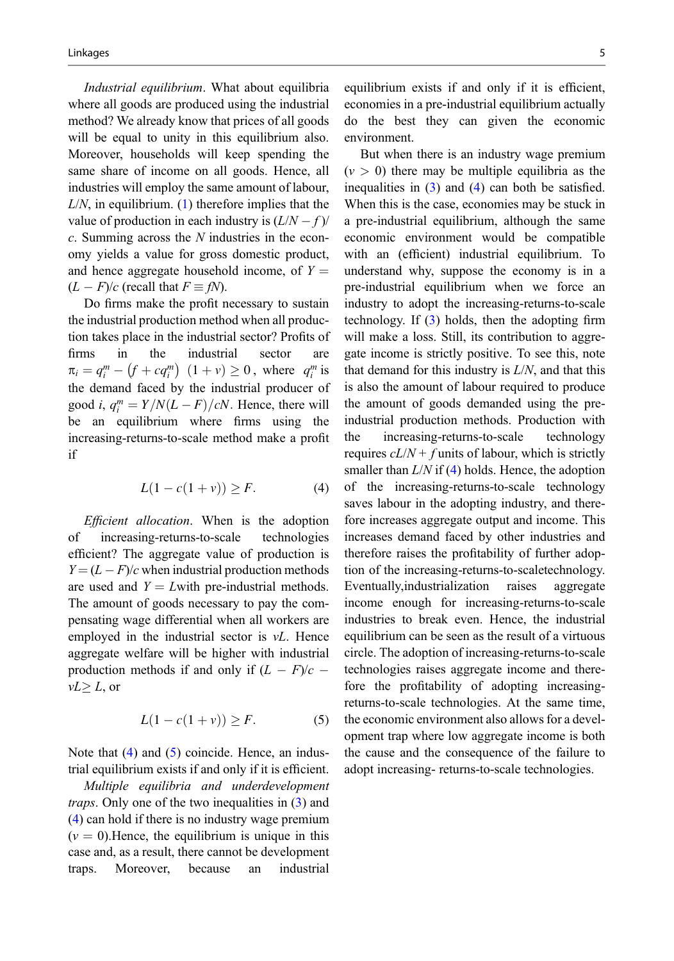Industrial equilibrium. What about equilibria where all goods are produced using the industrial method? We already know that prices of all goods will be equal to unity in this equilibrium also. Moreover, households will keep spending the same share of income on all goods. Hence, all industries will employ the same amount of labour,  $L/N$ , in equilibrium. [\(1](#page-3-0)) therefore implies that the value of production in each industry is  $(L/N - f)$ / c. Summing across the N industries in the economy yields a value for gross domestic product, and hence aggregate household income, of  $Y =$  $(L - F)/c$  (recall that  $F \equiv fN$ ).

Do firms make the profit necessary to sustain the industrial production method when all production takes place in the industrial sector? Profits of firms in the industrial sector are  $\pi_i = q_i^m - (f + cq_i^m)$   $(1 + v) \ge 0$ , where  $q_i^m$  is the demand faced by the industrial producer of good *i*,  $q_i^m = Y/N(L - F)/cN$ . Hence, there will be an equilibrium where firms using the increasing-returns-to-scale method make a profit if

$$
L(1 - c(1 + v)) \ge F.
$$
 (4)

Efficient allocation. When is the adoption of increasing-returns-to-scale technologies efficient? The aggregate value of production is  $Y = (L - F)/c$  when industrial production methods are used and  $Y = L$ with pre-industrial methods. The amount of goods necessary to pay the compensating wage differential when all workers are employed in the industrial sector is  $vL$ . Hence aggregate welfare will be higher with industrial production methods if and only if  $(L - F)/c$  –  $vL \geq L$ , or

$$
L(1 - c(1 + v)) \ge F. \tag{5}
$$

Note that  $(4)$  and  $(5)$  coincide. Hence, an industrial equilibrium exists if and only if it is efficient.

Multiple equilibria and underdevelopment traps. Only one of the two inequalities in [\(3](#page-3-0)) and (4) can hold if there is no industry wage premium  $(v = 0)$ . Hence, the equilibrium is unique in this case and, as a result, there cannot be development traps. Moreover, because an industrial equilibrium exists if and only if it is efficient, economies in a pre-industrial equilibrium actually do the best they can given the economic environment.

But when there is an industry wage premium  $(v > 0)$  there may be multiple equilibria as the inequalities in  $(3)$  $(3)$  and  $(4)$  can both be satisfied. When this is the case, economies may be stuck in a pre-industrial equilibrium, although the same economic environment would be compatible with an (efficient) industrial equilibrium. To understand why, suppose the economy is in a pre-industrial equilibrium when we force an industry to adopt the increasing-returns-to-scale technology. If  $(3)$  $(3)$  holds, then the adopting firm will make a loss. Still, its contribution to aggregate income is strictly positive. To see this, note that demand for this industry is  $L/N$ , and that this is also the amount of labour required to produce the amount of goods demanded using the preindustrial production methods. Production with the increasing-returns-to-scale technology requires  $cL/N + f$  units of labour, which is strictly smaller than  $L/N$  if (4) holds. Hence, the adoption of the increasing-returns-to-scale technology saves labour in the adopting industry, and therefore increases aggregate output and income. This increases demand faced by other industries and therefore raises the profitability of further adoption of the increasing-returns-to-scaletechnology. Eventually,industrialization raises aggregate income enough for increasing-returns-to-scale industries to break even. Hence, the industrial equilibrium can be seen as the result of a virtuous circle. The adoption of increasing-returns-to-scale technologies raises aggregate income and therefore the profitability of adopting increasingreturns-to-scale technologies. At the same time, the economic environment also allows for a development trap where low aggregate income is both the cause and the consequence of the failure to adopt increasing- returns-to-scale technologies.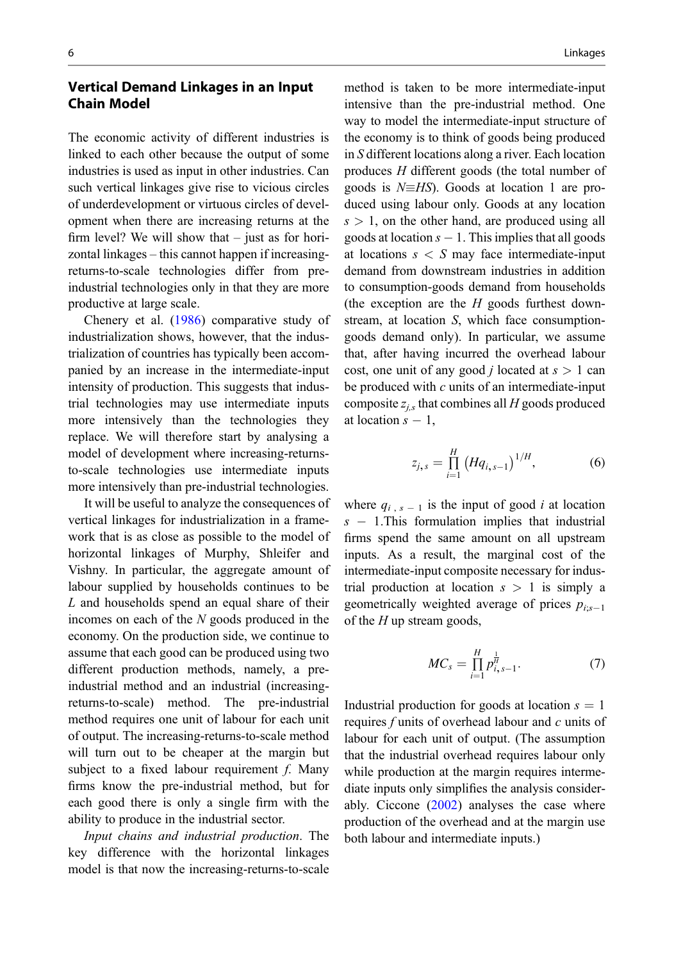## <span id="page-5-0"></span>Vertical Demand Linkages in an Input Chain Model

The economic activity of different industries is linked to each other because the output of some industries is used as input in other industries. Can such vertical linkages give rise to vicious circles of underdevelopment or virtuous circles of development when there are increasing returns at the firm level? We will show that  $-$  just as for horizontal linkages – this cannot happen if increasingreturns-to-scale technologies differ from preindustrial technologies only in that they are more productive at large scale.

Chenery et al. ([1986\)](#page-10-0) comparative study of industrialization shows, however, that the industrialization of countries has typically been accompanied by an increase in the intermediate-input intensity of production. This suggests that industrial technologies may use intermediate inputs more intensively than the technologies they replace. We will therefore start by analysing a model of development where increasing-returnsto-scale technologies use intermediate inputs more intensively than pre-industrial technologies.

It will be useful to analyze the consequences of vertical linkages for industrialization in a framework that is as close as possible to the model of horizontal linkages of Murphy, Shleifer and Vishny. In particular, the aggregate amount of labour supplied by households continues to be L and households spend an equal share of their incomes on each of the N goods produced in the economy. On the production side, we continue to assume that each good can be produced using two different production methods, namely, a preindustrial method and an industrial (increasingreturns-to-scale) method. The pre-industrial method requires one unit of labour for each unit of output. The increasing-returns-to-scale method will turn out to be cheaper at the margin but subject to a fixed labour requirement  $f$ . Many firms know the pre-industrial method, but for each good there is only a single firm with the ability to produce in the industrial sector.

Input chains and industrial production. The key difference with the horizontal linkages model is that now the increasing-returns-to-scale method is taken to be more intermediate-input intensive than the pre-industrial method. One way to model the intermediate-input structure of the economy is to think of goods being produced in S different locations along a river. Each location produces H different goods (the total number of goods is  $N\equiv HS$ ). Goods at location 1 are produced using labour only. Goods at any location  $s > 1$ , on the other hand, are produced using all goods at location  $s - 1$ . This implies that all goods at locations  $s < S$  may face intermediate-input demand from downstream industries in addition to consumption-goods demand from households (the exception are the  $H$  goods furthest downstream, at location S, which face consumptiongoods demand only). In particular, we assume that, after having incurred the overhead labour cost, one unit of any good *j* located at  $s > 1$  can be produced with  $c$  units of an intermediate-input composite  $z_{i,s}$  that combines all H goods produced

$$
z_{j,s} = \prod_{i=1}^{H} (Hq_{i,s-1})^{1/H}, \qquad (6)
$$

where  $q_{i}$ ,  $s = 1$  is the input of good i at location  $s - 1$ . This formulation implies that industrial firms spend the same amount on all upstream inputs. As a result, the marginal cost of the intermediate-input composite necessary for industrial production at location  $s > 1$  is simply a geometrically weighted average of prices  $p_{i,s-1}$ of the  $H$  up stream goods,

at location  $s - 1$ ,

$$
MC_s = \prod_{i=1}^{H} p_{i,s-1}^{\frac{1}{H}}.
$$
 (7)

Industrial production for goods at location  $s = 1$ requires f units of overhead labour and c units of labour for each unit of output. (The assumption that the industrial overhead requires labour only while production at the margin requires intermediate inputs only simplifies the analysis considerably. Ciccone ([2002\)](#page-10-0) analyses the case where production of the overhead and at the margin use both labour and intermediate inputs.)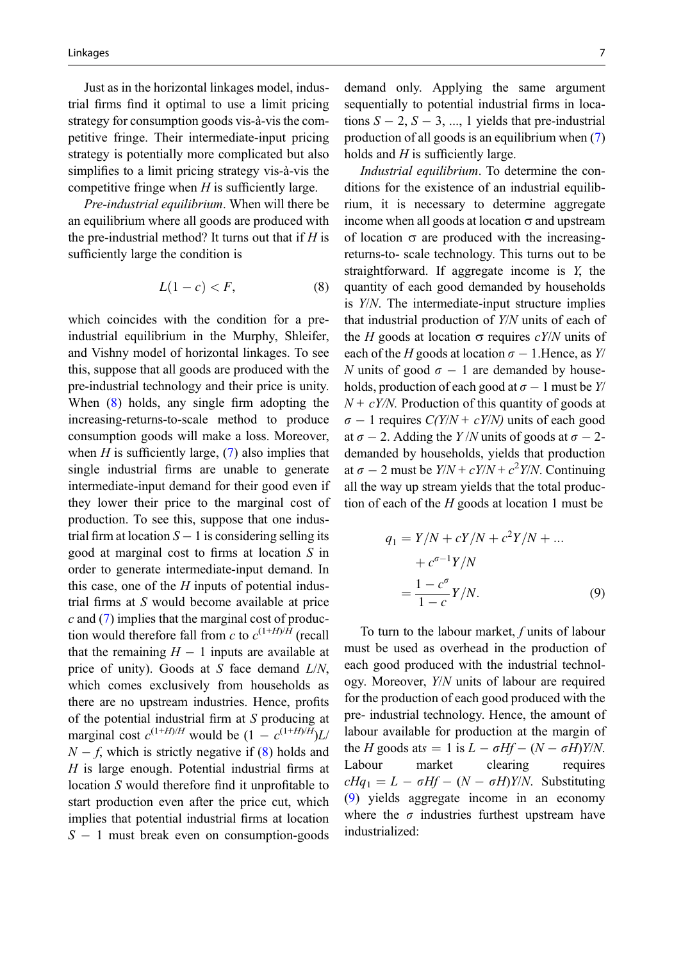<span id="page-6-0"></span>Just as in the horizontal linkages model, industrial firms find it optimal to use a limit pricing strategy for consumption goods vis-à-vis the competitive fringe. Their intermediate-input pricing strategy is potentially more complicated but also simplifies to a limit pricing strategy vis-à-vis the competitive fringe when  $H$  is sufficiently large.

Pre-industrial equilibrium. When will there be an equilibrium where all goods are produced with the pre-industrial method? It turns out that if  $H$  is sufficiently large the condition is

$$
L(1-c) < F,\tag{8}
$$

which coincides with the condition for a preindustrial equilibrium in the Murphy, Shleifer, and Vishny model of horizontal linkages. To see this, suppose that all goods are produced with the pre-industrial technology and their price is unity. When (8) holds, any single firm adopting the increasing-returns-to-scale method to produce consumption goods will make a loss. Moreover, when  $H$  is sufficiently large,  $(7)$  $(7)$  also implies that single industrial firms are unable to generate intermediate-input demand for their good even if they lower their price to the marginal cost of production. To see this, suppose that one industrial firm at location  $S - 1$  is considering selling its good at marginal cost to firms at location S in order to generate intermediate-input demand. In this case, one of the  $H$  inputs of potential industrial firms at S would become available at price  $c$  and  $(7)$  $(7)$  implies that the marginal cost of production would therefore fall from c to  $c^{(1+H)/H}$  (recall that the remaining  $H - 1$  inputs are available at price of unity). Goods at S face demand  $L/N$ , which comes exclusively from households as there are no upstream industries. Hence, profits of the potential industrial firm at S producing at marginal cost  $c^{(1+H)/H}$  would be  $(1 - c^{(1+H)/H})L$  $N - f$ , which is strictly negative if (8) holds and  $H$  is large enough. Potential industrial firms at location S would therefore find it unprofitable to start production even after the price cut, which implies that potential industrial firms at location  $S - 1$  must break even on consumption-goods

demand only. Applying the same argument sequentially to potential industrial firms in locations  $S - 2$ ,  $S - 3$ , ..., 1 yields that pre-industrial production of all goods is an equilibrium when [\(7](#page-5-0)) holds and  $H$  is sufficiently large.

Industrial equilibrium. To determine the conditions for the existence of an industrial equilibrium, it is necessary to determine aggregate income when all goods at location  $\sigma$  and upstream of location  $\sigma$  are produced with the increasingreturns-to- scale technology. This turns out to be straightforward. If aggregate income is Y, the quantity of each good demanded by households is Y/N. The intermediate-input structure implies that industrial production of Y/N units of each of the H goods at location  $\sigma$  requires *cY/N* units of each of the H goods at location  $\sigma - 1$ . Hence, as Y/ N units of good  $\sigma - 1$  are demanded by households, production of each good at  $\sigma - 1$  must be Y/  $N + cY/N$ . Production of this quantity of goods at  $\sigma - 1$  requires  $C(Y/N + cY/N)$  units of each good at  $\sigma$  – 2. Adding the *Y*/*N* units of goods at  $\sigma$  – 2demanded by households, yields that production at  $\sigma - 2$  must be  $Y/N + cY/N + c^2Y/N$ . Continuing all the way up stream yields that the total production of each of the  $H$  goods at location 1 must be

$$
q_1 = Y/N + cY/N + c^2Y/N + \dots
$$

$$
+ c^{\sigma - 1}Y/N
$$

$$
= \frac{1 - c^{\sigma}}{1 - c}Y/N.
$$
(9)

To turn to the labour market, f units of labour must be used as overhead in the production of each good produced with the industrial technology. Moreover, Y/N units of labour are required for the production of each good produced with the pre- industrial technology. Hence, the amount of labour available for production at the margin of the H goods ats = 1 is  $L - \sigma Hf - (N - \sigma H)Y/N$ .<br>Labour market clearing requires Labour market clearing requires  $cHq_1 = L - \sigma Hf - (N - \sigma H)Y/N$ . Substituting (9) yields aggregate income in an economy where the  $\sigma$  industries furthest upstream have industrialized: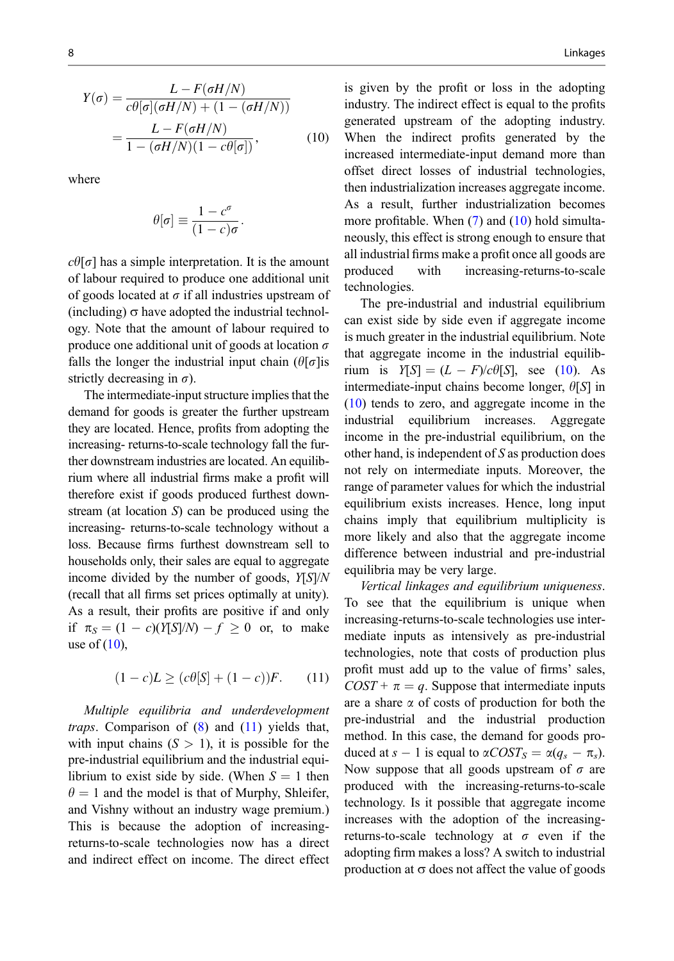$$
Y(\sigma) = \frac{L - F(\sigma H/N)}{c\theta[\sigma](\sigma H/N) + (1 - (\sigma H/N))}
$$

$$
= \frac{L - F(\sigma H/N)}{1 - (\sigma H/N)(1 - c\theta[\sigma])},
$$
(10)

where

$$
\theta[\sigma] \equiv \frac{1 - c^{\sigma}}{(1 - c)\sigma}.
$$

 $c\theta[\sigma]$  has a simple interpretation. It is the amount of labour required to produce one additional unit of goods located at  $\sigma$  if all industries upstream of  $(including) \sigma$  have adopted the industrial technology. Note that the amount of labour required to produce one additional unit of goods at location  $\sigma$ falls the longer the industrial input chain ( $\theta[\sigma]$ is strictly decreasing in  $\sigma$ ).

The intermediate-input structure implies that the demand for goods is greater the further upstream they are located. Hence, profits from adopting the increasing- returns-to-scale technology fall the further downstream industries are located. An equilibrium where all industrial firms make a profit will therefore exist if goods produced furthest downstream (at location S) can be produced using the increasing- returns-to-scale technology without a loss. Because firms furthest downstream sell to households only, their sales are equal to aggregate income divided by the number of goods, Y[S]/N (recall that all firms set prices optimally at unity). As a result, their profits are positive if and only if  $\pi_S = (1 - c)(Y[S]/N) - f \ge 0$  or, to make use of  $(10)$  $(10)$ ,

$$
(1 - c)L \ge (c\theta[S] + (1 - c))F.
$$
 (11)

Multiple equilibria and underdevelopment *traps.* Comparison of  $(8)$  $(8)$  and  $(11)$  yields that, with input chains  $(S > 1)$ , it is possible for the pre-industrial equilibrium and the industrial equilibrium to exist side by side. (When  $S = 1$  then  $\theta = 1$  and the model is that of Murphy, Shleifer, and Vishny without an industry wage premium.) This is because the adoption of increasingreturns-to-scale technologies now has a direct and indirect effect on income. The direct effect is given by the profit or loss in the adopting industry. The indirect effect is equal to the profits generated upstream of the adopting industry. When the indirect profits generated by the increased intermediate-input demand more than offset direct losses of industrial technologies, then industrialization increases aggregate income. As a result, further industrialization becomes more profitable. When  $(7)$  $(7)$  and  $(10)$  $(10)$  hold simultaneously, this effect is strong enough to ensure that all industrial firms make a profit once all goods are produced with increasing-returns-to-scale technologies.

The pre-industrial and industrial equilibrium can exist side by side even if aggregate income is much greater in the industrial equilibrium. Note that aggregate income in the industrial equilibrium is  $Y[S] = (L - F)/c\theta[S]$ , see [\(10](#page-6-0)). As intermediate-input chains become longer,  $\theta[S]$  in [\(10](#page-6-0)) tends to zero, and aggregate income in the industrial equilibrium increases. Aggregate income in the pre-industrial equilibrium, on the other hand, is independent of S as production does not rely on intermediate inputs. Moreover, the range of parameter values for which the industrial equilibrium exists increases. Hence, long input chains imply that equilibrium multiplicity is more likely and also that the aggregate income difference between industrial and pre-industrial equilibria may be very large.

Vertical linkages and equilibrium uniqueness. To see that the equilibrium is unique when increasing-returns-to-scale technologies use intermediate inputs as intensively as pre-industrial technologies, note that costs of production plus profit must add up to the value of firms' sales,  $COST + \pi = q$ . Suppose that intermediate inputs are a share  $\alpha$  of costs of production for both the pre-industrial and the industrial production method. In this case, the demand for goods produced at  $s - 1$  is equal to  $\alpha COST_S = \alpha (q_s - \pi_s)$ . Now suppose that all goods upstream of  $\sigma$  are produced with the increasing-returns-to-scale technology. Is it possible that aggregate income increases with the adoption of the increasingreturns-to-scale technology at  $\sigma$  even if the adopting firm makes a loss? A switch to industrial production at  $\sigma$  does not affect the value of goods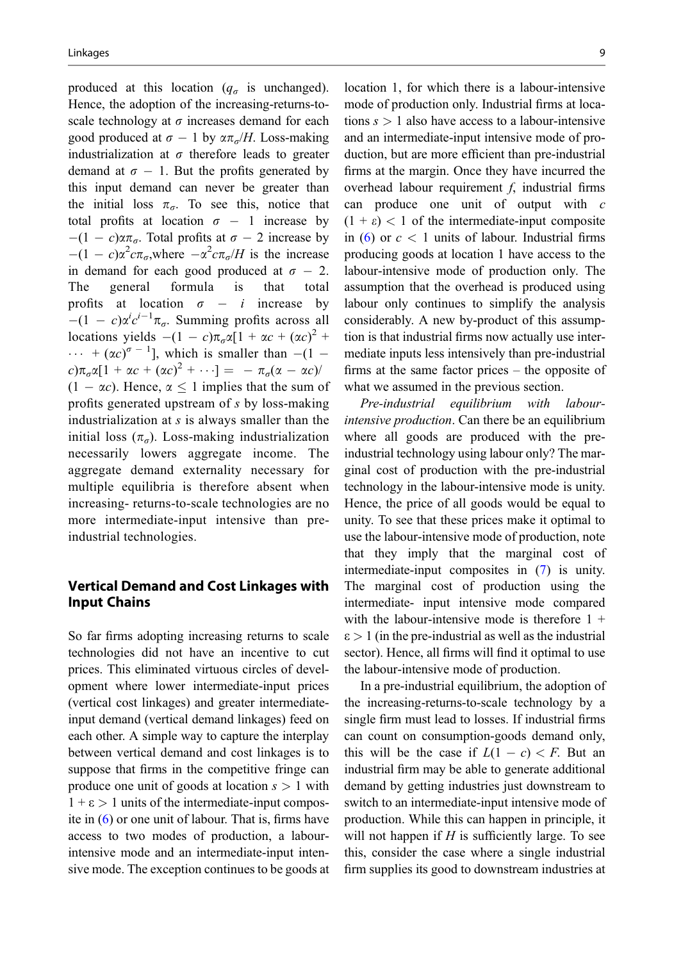produced at this location ( $q_{\sigma}$  is unchanged). Hence, the adoption of the increasing-returns-toscale technology at  $\sigma$  increases demand for each good produced at  $\sigma - 1$  by  $\alpha \pi_{\sigma}/H$ . Loss-making industrialization at  $\sigma$  therefore leads to greater demand at  $\sigma - 1$ . But the profits generated by this input demand can never be greater than the initial loss  $\pi_{\sigma}$ . To see this, notice that total profits at location  $\sigma - 1$  increase by  $-(1 - c)\alpha\pi_{\sigma}$ . Total profits at  $\sigma - 2$  increase by  $-(1 - c)\alpha^2 c \pi_{\sigma}$ , where  $-\alpha^2 c \pi_{\sigma}/H$  is the increase in demand for each good produced at  $\sigma - 2$ .<br>The general formula is that total formula profits at location  $\sigma$  – *i* increase by  $- (1 - c) \alpha^{i} c^{i-1} \pi_{\sigma}$ . Summing profits across all locations yields  $-(1 - c)\pi_{\sigma}\alpha[1 + \alpha c + (\alpha c)^2 +$  $\cdots$  + ( $\alpha c$ )<sup> $\sigma$  - 1</sup>], which is smaller than -(1  $c)\pi_{\sigma}\alpha[1 + \alpha c + (\alpha c)^2 + \cdots] = -\pi_{\sigma}(\alpha - \alpha c)$  $(1 - \alpha c)$ . Hence,  $\alpha < 1$  implies that the sum of profits generated upstream of s by loss-making industrialization at  $s$  is always smaller than the initial loss  $(\pi_{\sigma})$ . Loss-making industrialization necessarily lowers aggregate income. The aggregate demand externality necessary for multiple equilibria is therefore absent when increasing- returns-to-scale technologies are no more intermediate-input intensive than preindustrial technologies.

## Vertical Demand and Cost Linkages with Input Chains

So far firms adopting increasing returns to scale technologies did not have an incentive to cut prices. This eliminated virtuous circles of development where lower intermediate-input prices (vertical cost linkages) and greater intermediateinput demand (vertical demand linkages) feed on each other. A simple way to capture the interplay between vertical demand and cost linkages is to suppose that firms in the competitive fringe can produce one unit of goods at location  $s > 1$  with  $1 + \varepsilon > 1$  units of the intermediate-input composite in  $(6)$  $(6)$  or one unit of labour. That is, firms have access to two modes of production, a labourintensive mode and an intermediate-input intensive mode. The exception continues to be goods at

location 1, for which there is a labour-intensive mode of production only. Industrial firms at locations  $s > 1$  also have access to a labour-intensive and an intermediate-input intensive mode of production, but are more efficient than pre-industrial firms at the margin. Once they have incurred the overhead labour requirement  $f$ , industrial firms can produce one unit of output with c  $(1 + \varepsilon) < 1$  of the intermediate-input composite in ([6\)](#page-5-0) or  $c < 1$  units of labour. Industrial firms producing goods at location 1 have access to the labour-intensive mode of production only. The assumption that the overhead is produced using labour only continues to simplify the analysis considerably. A new by-product of this assumption is that industrial firms now actually use intermediate inputs less intensively than pre-industrial firms at the same factor prices – the opposite of what we assumed in the previous section.

Pre-industrial equilibrium with labourintensive production. Can there be an equilibrium where all goods are produced with the preindustrial technology using labour only? The marginal cost of production with the pre-industrial technology in the labour-intensive mode is unity. Hence, the price of all goods would be equal to unity. To see that these prices make it optimal to use the labour-intensive mode of production, note that they imply that the marginal cost of intermediate-input composites in [\(7](#page-5-0)) is unity. The marginal cost of production using the intermediate- input intensive mode compared with the labour-intensive mode is therefore  $1 +$  $\epsilon > 1$  (in the pre-industrial as well as the industrial sector). Hence, all firms will find it optimal to use the labour-intensive mode of production.

In a pre-industrial equilibrium, the adoption of the increasing-returns-to-scale technology by a single firm must lead to losses. If industrial firms can count on consumption-goods demand only, this will be the case if  $L(1 - c) < F$ . But an industrial firm may be able to generate additional demand by getting industries just downstream to switch to an intermediate-input intensive mode of production. While this can happen in principle, it will not happen if  $H$  is sufficiently large. To see this, consider the case where a single industrial firm supplies its good to downstream industries at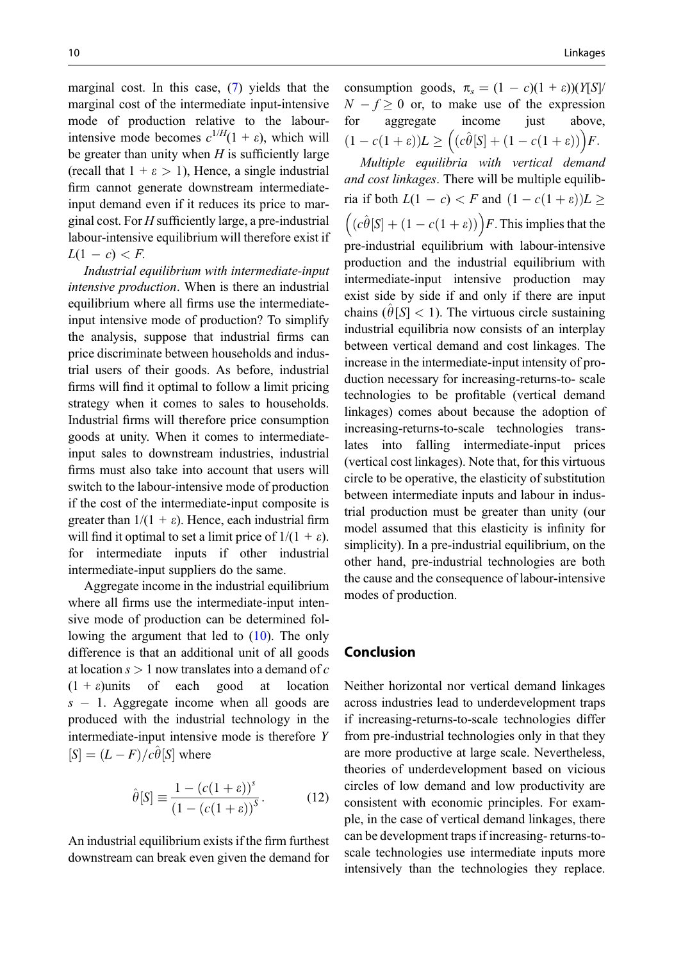marginal cost. In this case, ([7\)](#page-5-0) yields that the marginal cost of the intermediate input-intensive mode of production relative to the labourintensive mode becomes  $c^{1/H}(1 + \varepsilon)$ , which will be greater than unity when  $H$  is sufficiently large (recall that  $1 + \varepsilon > 1$ ), Hence, a single industrial firm cannot generate downstream intermediateinput demand even if it reduces its price to marginal cost. For  $H$  sufficiently large, a pre-industrial labour-intensive equilibrium will therefore exist if  $L(1 - c) < F$ .

Industrial equilibrium with intermediate-input intensive production. When is there an industrial equilibrium where all firms use the intermediateinput intensive mode of production? To simplify the analysis, suppose that industrial firms can price discriminate between households and industrial users of their goods. As before, industrial firms will find it optimal to follow a limit pricing strategy when it comes to sales to households. Industrial firms will therefore price consumption goods at unity. When it comes to intermediateinput sales to downstream industries, industrial firms must also take into account that users will switch to the labour-intensive mode of production if the cost of the intermediate-input composite is greater than  $1/(1 + \varepsilon)$ . Hence, each industrial firm will find it optimal to set a limit price of  $1/(1 + \varepsilon)$ . for intermediate inputs if other industrial intermediate-input suppliers do the same.

Aggregate income in the industrial equilibrium where all firms use the intermediate-input intensive mode of production can be determined following the argument that led to ([10\)](#page-6-0). The only difference is that an additional unit of all goods at location  $s > 1$  now translates into a demand of c  $(1 + \varepsilon)$ units of each good at location  $s - 1$ . Aggregate income when all goods are produced with the industrial technology in the intermediate-input intensive mode is therefore Y  $[S] = (L - F)/c\hat{\theta}[S]$  where

$$
\hat{\theta}[S] \equiv \frac{1 - (c(1 + \varepsilon))^s}{(1 - (c(1 + \varepsilon))^s}.
$$
 (12)

An industrial equilibrium exists if the firm furthest downstream can break even given the demand for consumption goods,  $\pi_s = (1 - c)(1 + \varepsilon)$ )(Y[S]/  $N - f \geq 0$  or, to make use of the expression for aggregate income just above,  $(1 - c(1 + \varepsilon))L \geq ((c\hat{\theta}[S] + (1 - c(1 + \varepsilon)))F).$ 

Multiple equilibria with vertical demand and cost linkages. There will be multiple equilibria if both  $L(1 - c) < F$  and  $(1 - c(1 + \varepsilon))L \ge$  $\left( (c\hat{\theta}[S] + (1 - c(1 + \varepsilon)) \right) F$ . This implies that the pre-industrial equilibrium with labour-intensive production and the industrial equilibrium with intermediate-input intensive production may exist side by side if and only if there are input chains ( $\theta[S] < 1$ ). The virtuous circle sustaining industrial equilibria now consists of an interplay between vertical demand and cost linkages. The increase in the intermediate-input intensity of production necessary for increasing-returns-to- scale technologies to be profitable (vertical demand linkages) comes about because the adoption of increasing-returns-to-scale technologies translates into falling intermediate-input prices (vertical cost linkages). Note that, for this virtuous circle to be operative, the elasticity of substitution between intermediate inputs and labour in industrial production must be greater than unity (our model assumed that this elasticity is infinity for simplicity). In a pre-industrial equilibrium, on the other hand, pre-industrial technologies are both the cause and the consequence of labour-intensive modes of production.

#### Conclusion

Neither horizontal nor vertical demand linkages across industries lead to underdevelopment traps if increasing-returns-to-scale technologies differ from pre-industrial technologies only in that they are more productive at large scale. Nevertheless, theories of underdevelopment based on vicious circles of low demand and low productivity are consistent with economic principles. For example, in the case of vertical demand linkages, there can be development traps if increasing- returns-toscale technologies use intermediate inputs more intensively than the technologies they replace.